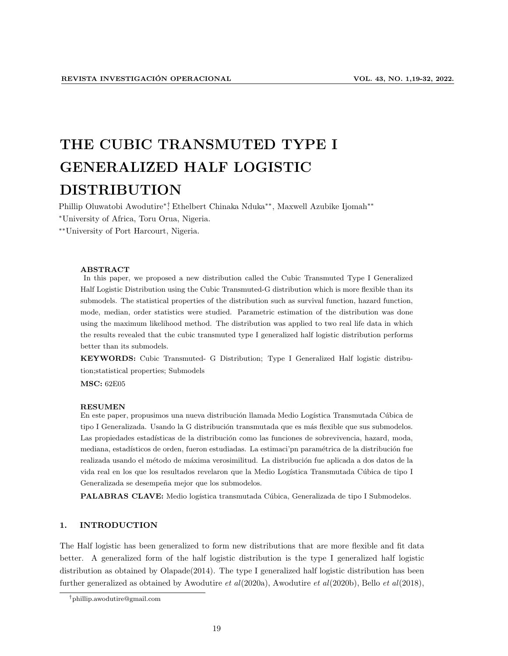# THE CUBIC TRANSMUTED TYPE I GENERALIZED HALF LOGISTIC DISTRIBUTION

Phillip Oluwatobi Awodutire∗†, Ethelbert Chinaka Nduka∗∗, Maxwell Azubike Ijomah∗∗ <sup>∗</sup>University of Africa, Toru Orua, Nigeria.

∗∗University of Port Harcourt, Nigeria.

#### ABSTRACT

In this paper, we proposed a new distribution called the Cubic Transmuted Type I Generalized Half Logistic Distribution using the Cubic Transmuted-G distribution which is more flexible than its submodels. The statistical properties of the distribution such as survival function, hazard function, mode, median, order statistics were studied. Parametric estimation of the distribution was done using the maximum likelihood method. The distribution was applied to two real life data in which the results revealed that the cubic transmuted type I generalized half logistic distribution performs better than its submodels.

KEYWORDS: Cubic Transmuted- G Distribution; Type I Generalized Half logistic distribution;statistical properties; Submodels

MSC: 62E05

#### RESUMEN

En este paper, propusimos una nueva distribución llamada Medio Logística Transmutada Cúbica de tipo I Generalizada. Usando la G distribución transmutada que es más flexible que sus submodelos. Las propiedades estadísticas de la distribución como las funciones de sobrevivencia, hazard, moda, mediana, estadísticos de orden, fueron estudiadas. La estimaci'pn paramétrica de la distribución fue realizada usando el método de máxima verosimilitud. La distribución fue aplicada a dos datos de la vida real en los que los resultados revelaron que la Medio Logística Transmutada Cúbica de tipo I Generalizada se desempeña mejor que los submodelos.

PALABRAS CLAVE: Medio logística transmutada Cúbica, Generalizada de tipo I Submodelos.

# 1. INTRODUCTION

The Half logistic has been generalized to form new distributions that are more flexible and fit data better. A generalized form of the half logistic distribution is the type I generalized half logistic distribution as obtained by Olapade(2014). The type I generalized half logistic distribution has been further generalized as obtained by Awodutire et al(2020a), Awodutire et al(2020b), Bello et al(2018),

<sup>†</sup>phillip.awodutire@gmail.com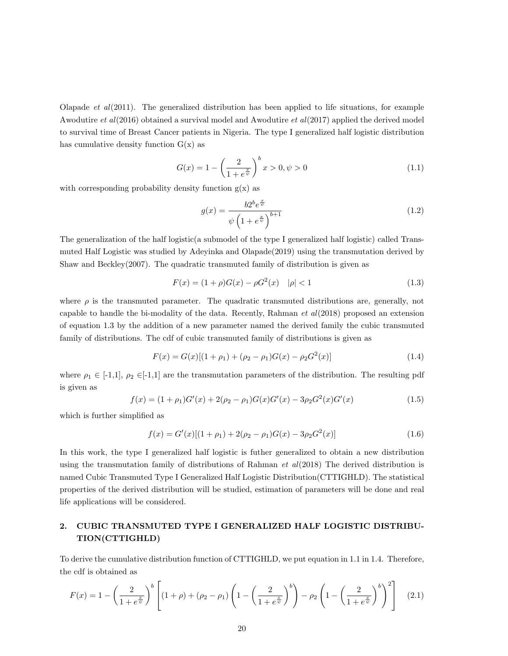Olapade *et al*(2011). The generalized distribution has been applied to life situations, for example Awodutire et  $al(2016)$  obtained a survival model and Awodutire et  $al(2017)$  applied the derived model to survival time of Breast Cancer patients in Nigeria. The type I generalized half logistic distribution has cumulative density function  $G(x)$  as

$$
G(x) = 1 - \left(\frac{2}{1 + e^{\frac{x}{\psi}}}\right)^b x > 0, \psi > 0
$$
\n(1.1)

with corresponding probability density function  $g(x)$  as

$$
g(x) = \frac{b2^b e^{\frac{x}{\psi}}}{\psi \left(1 + e^{\frac{x}{\psi}}\right)^{b+1}}\tag{1.2}
$$

The generalization of the half logistic(a submodel of the type I generalized half logistic) called Transmuted Half Logistic was studied by Adeyinka and Olapade(2019) using the transmutation derived by Shaw and Beckley(2007). The quadratic transmuted family of distribution is given as

$$
F(x) = (1 + \rho)G(x) - \rho G^{2}(x) \quad |\rho| < 1 \tag{1.3}
$$

where  $\rho$  is the transmuted parameter. The quadratic transmuted distributions are, generally, not capable to handle the bi-modality of the data. Recently, Rahman  $et$   $al(2018)$  proposed an extension of equation 1.3 by the addition of a new parameter named the derived family the cubic transmuted family of distributions. The cdf of cubic transmuted family of distributions is given as

$$
F(x) = G(x)[(1 + \rho_1) + (\rho_2 - \rho_1)G(x) - \rho_2 G^2(x)]
$$
\n(1.4)

where  $\rho_1 \in [-1,1], \rho_2 \in [-1,1]$  are the transmutation parameters of the distribution. The resulting pdf is given as

$$
f(x) = (1 + \rho_1)G'(x) + 2(\rho_2 - \rho_1)G(x)G'(x) - 3\rho_2 G^2(x)G'(x)
$$
\n(1.5)

which is further simplified as

$$
f(x) = G'(x)[(1 + \rho_1) + 2(\rho_2 - \rho_1)G(x) - 3\rho_2 G^2(x)]
$$
\n(1.6)

In this work, the type I generalized half logistic is futher generalized to obtain a new distribution using the transmutation family of distributions of Rahman *et al*(2018) The derived distribution is named Cubic Transmuted Type I Generalized Half Logistic Distribution(CTTIGHLD). The statistical properties of the derived distribution will be studied, estimation of parameters will be done and real life applications will be considered.

# 2. CUBIC TRANSMUTED TYPE I GENERALIZED HALF LOGISTIC DISTRIBU-TION(CTTIGHLD)

To derive the cumulative distribution function of CTTIGHLD, we put equation in 1.1 in 1.4. Therefore, the cdf is obtained as

$$
F(x) = 1 - \left(\frac{2}{1 + e^{\frac{x}{\psi}}}\right)^b \left[ (1 + \rho) + (\rho_2 - \rho_1) \left(1 - \left(\frac{2}{1 + e^{\frac{x}{\psi}}}\right)^b \right) - \rho_2 \left(1 - \left(\frac{2}{1 + e^{\frac{x}{\psi}}}\right)^b \right)^2 \right] \tag{2.1}
$$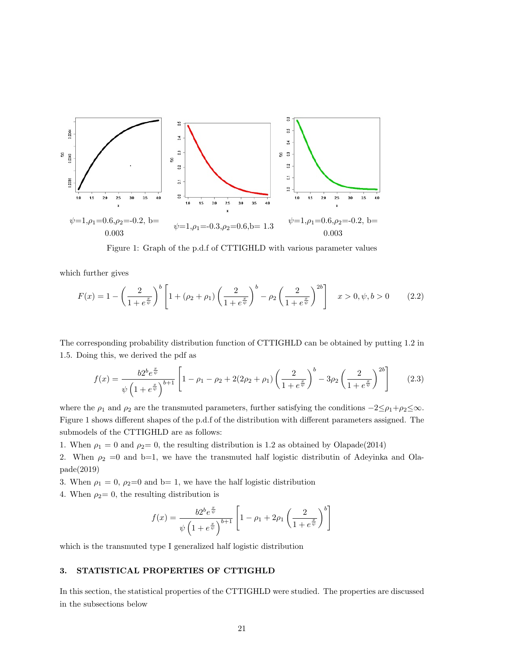

Figure 1: Graph of the p.d.f of CTTIGHLD with various parameter values

which further gives

$$
F(x) = 1 - \left(\frac{2}{1 + e^{\frac{x}{\psi}}}\right)^b \left[1 + (\rho_2 + \rho_1) \left(\frac{2}{1 + e^{\frac{x}{\psi}}}\right)^b - \rho_2 \left(\frac{2}{1 + e^{\frac{x}{\psi}}}\right)^{2b}\right] \quad x > 0, \psi, b > 0 \tag{2.2}
$$

The corresponding probability distribution function of CTTIGHLD can be obtained by putting 1.2 in 1.5. Doing this, we derived the pdf as

$$
f(x) = \frac{b2^b e^{\frac{x}{\psi}}}{\psi \left(1 + e^{\frac{x}{\psi}}\right)^{b+1}} \left[1 - \rho_1 - \rho_2 + 2(2\rho_2 + \rho_1) \left(\frac{2}{1 + e^{\frac{x}{\psi}}}\right)^b - 3\rho_2 \left(\frac{2}{1 + e^{\frac{x}{\psi}}}\right)^{2b}\right] \tag{2.3}
$$

where the  $\rho_1$  and  $\rho_2$  are the transmuted parameters, further satisfying the conditions  $-2\leq \rho_1+\rho_2\leq \infty$ . Figure 1 shows different shapes of the p.d.f of the distribution with different parameters assigned. The submodels of the CTTIGHLD are as follows:

1. When  $\rho_1 = 0$  and  $\rho_2 = 0$ , the resulting distribution is 1.2 as obtained by Olapade(2014)

2. When  $\rho_2 = 0$  and b=1, we have the transmuted half logistic distributin of Adeyinka and Olapade(2019)

3. When  $\rho_1 = 0$ ,  $\rho_2 = 0$  and b= 1, we have the half logistic distribution

4. When  $\rho_2=0$ , the resulting distribution is

$$
f(x) = \frac{b2^b e^{\frac{x}{\psi}}}{\psi \left(1 + e^{\frac{x}{\psi}}\right)^{b+1}} \left[1 - \rho_1 + 2\rho_1 \left(\frac{2}{1 + e^{\frac{x}{\psi}}}\right)^b\right]
$$

which is the transmuted type I generalized half logistic distribution

# 3. STATISTICAL PROPERTIES OF CTTIGHLD

In this section, the statistical properties of the CTTIGHLD were studied. The properties are discussed in the subsections below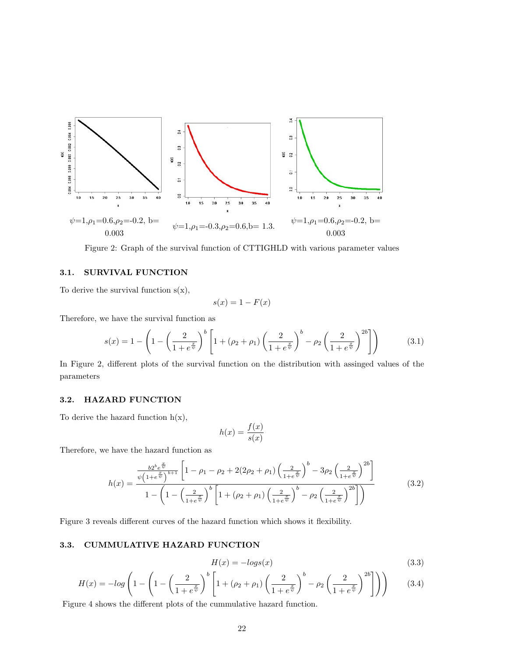

Figure 2: Graph of the survival function of CTTIGHLD with various parameter values

# 3.1. SURVIVAL FUNCTION

To derive the survival function  $s(x)$ ,

$$
s(x) = 1 - F(x)
$$

Therefore, we have the survival function as

$$
s(x) = 1 - \left(1 - \left(\frac{2}{1 + e^{\frac{x}{\psi}}}\right)^b \left[1 + (\rho_2 + \rho_1) \left(\frac{2}{1 + e^{\frac{x}{\psi}}}\right)^b - \rho_2 \left(\frac{2}{1 + e^{\frac{x}{\psi}}}\right)^{2b}\right]\right) \tag{3.1}
$$

In Figure 2, different plots of the survival function on the distribution with assinged values of the parameters

#### 3.2. HAZARD FUNCTION

To derive the hazard function  $h(x)$ ,

$$
h(x) = \frac{f(x)}{s(x)}
$$

Therefore, we have the hazard function as

$$
h(x) = \frac{\frac{b2^{b}e^{\frac{x}{\psi}}}{\psi\left(1+e^{\frac{x}{\psi}}\right)^{b+1}} \left[1-\rho_{1}-\rho_{2}+2(2\rho_{2}+\rho_{1})\left(\frac{2}{1+e^{\frac{x}{\psi}}}\right)^{b}-3\rho_{2}\left(\frac{2}{1+e^{\frac{x}{\psi}}}\right)^{2b}\right]}{1-\left(1-\left(\frac{2}{1+e^{\frac{x}{\psi}}}\right)^{b}\left[1+(\rho_{2}+\rho_{1})\left(\frac{2}{1+e^{\frac{x}{\psi}}}\right)^{b}-\rho_{2}\left(\frac{2}{1+e^{\frac{x}{\psi}}}\right)^{2b}\right]}\right)
$$
(3.2)

Figure 3 reveals different curves of the hazard function which shows it flexibility.

# 3.3. CUMMULATIVE HAZARD FUNCTION

$$
H(x) = -\log(s(x))\tag{3.3}
$$

$$
H(x) = -\log\left(1 - \left(1 - \left(\frac{2}{1 + e^{\frac{x}{\psi}}}\right)^b \left[1 + (\rho_2 + \rho_1) \left(\frac{2}{1 + e^{\frac{x}{\psi}}}\right)^b - \rho_2 \left(\frac{2}{1 + e^{\frac{x}{\psi}}}\right)^{2b}\right]\right)\right) \tag{3.4}
$$

Figure 4 shows the different plots of the cummulative hazard function.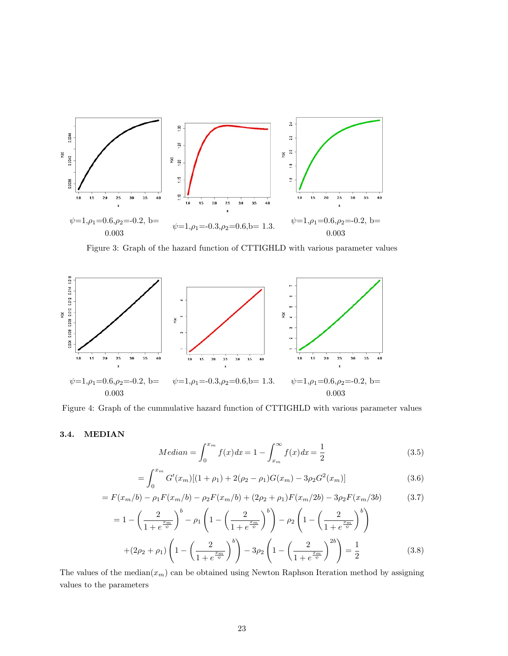

Figure 3: Graph of the hazard function of CTTIGHLD with various parameter values



Figure 4: Graph of the cummulative hazard function of CTTIGHLD with various parameter values

# 3.4. MEDIAN

Median = 
$$
\int_0^{x_m} f(x)dx = 1 - \int_{x_m}^{\infty} f(x)dx = \frac{1}{2}
$$
 (3.5)

$$
= \int_0^{x_m} G'(x_m)[(1+\rho_1) + 2(\rho_2 - \rho_1)G(x_m) - 3\rho_2 G^2(x_m)] \tag{3.6}
$$

$$
= F(x_m/b) - \rho_1 F(x_m/b) - \rho_2 F(x_m/b) + (2\rho_2 + \rho_1) F(x_m/2b) - 3\rho_2 F(x_m/3b)
$$
(3.7)

$$
= 1 - \left(\frac{2}{1 + e^{\frac{x_m}{\psi}}}\right)^b - \rho_1 \left(1 - \left(\frac{2}{1 + e^{\frac{x_m}{\psi}}}\right)^b\right) - \rho_2 \left(1 - \left(\frac{2}{1 + e^{\frac{x_m}{\psi}}}\right)^b\right) + (2\rho_2 + \rho_1) \left(1 - \left(\frac{2}{1 + e^{\frac{x_m}{\psi}}}\right)^b\right) - 3\rho_2 \left(1 - \left(\frac{2}{1 + e^{\frac{x_m}{\psi}}}\right)^{2b}\right) = \frac{1}{2}
$$
(3.8)

The values of the median $(x_m)$  can be obtained using Newton Raphson Iteration method by assigning values to the parameters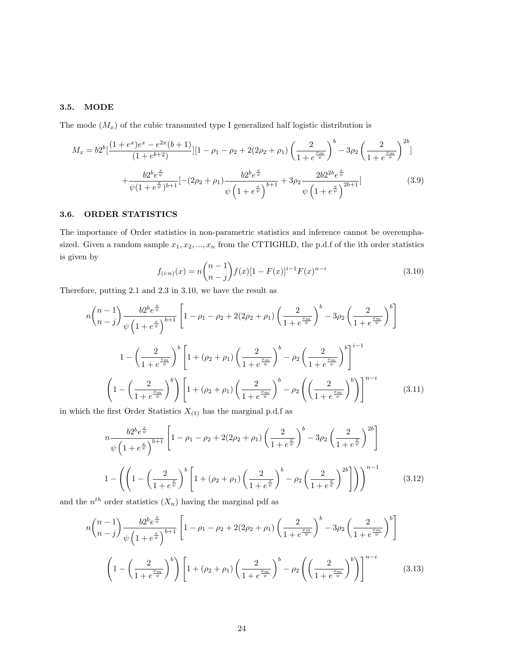# 3.5. MODE

The mode  $(M_x)$  of the cubic transmuted type I generalized half logistic distribution is

$$
M_x = b2^b \left[ \frac{(1+e^x)e^x - e^{2x}(b+1)}{(1+e^{b+2})} \left[1 - \rho_1 - \rho_2 + 2(2\rho_2 + \rho_1) \left(\frac{2}{1+e^{\frac{x_m}{\psi}}}\right)^b - 3\rho_2 \left(\frac{2}{1+e^{\frac{x_m}{\psi}}}\right)^{2b}\right] + \frac{b2^b e^{\frac{x}{\psi}}}{\psi(1+e^{\frac{x}{\psi}})^{b+1}} \left[-(2\rho_2 + \rho_1) \frac{b2^b e^{\frac{x}{\psi}}}{\psi \left(1+e^{\frac{x}{\psi}}\right)^{b+1}} + 3\rho_2 \frac{2b2^{2b} e^{\frac{x}{\psi}}}{\psi \left(1+e^{\frac{x}{\psi}}\right)^{2b+1}}\right]
$$
(3.9)

# 3.6. ORDER STATISTICS

The importance of Order statistics in non-parametric statistics and inference cannot be overemphasized. Given a random sample  $x_1, x_2, ..., x_n$  from the CTTIGHLD, the p.d.f of the ith order statistics is given by

$$
f_{(i:n)}(x) = n \binom{n-1}{n-j} f(x) [1 - F(x)]^{i-1} F(x)^{n-i}
$$
\n(3.10)

Therefore, putting 2.1 and 2.3 in 3.10, we have the result as

$$
n\binom{n-1}{n-j} \frac{b2^b e^{\frac{x}{\psi}}}{\psi \left(1+e^{\frac{x}{\psi}}\right)^{b+1}} \left[1-\rho_1-\rho_2+2(2\rho_2+\rho_1)\left(\frac{2}{1+e^{\frac{x_m}{\psi}}}\right)^b - 3\rho_2\left(\frac{2}{1+e^{\frac{x_m}{\psi}}}\right)^b\right]
$$
  

$$
1 - \left(\frac{2}{1+e^{\frac{x_m}{\psi}}}\right)^b \left[1+(\rho_2+\rho_1)\left(\frac{2}{1+e^{\frac{x_m}{\psi}}}\right)^b - \rho_2\left(\frac{2}{1+e^{\frac{x_m}{\psi}}}\right)^b\right]^{i-1}
$$
  

$$
\left(1 - \left(\frac{2}{1+e^{\frac{x_m}{\psi}}}\right)^b\right) \left[1+(\rho_2+\rho_1)\left(\frac{2}{1+e^{\frac{x_m}{\psi}}}\right)^b - \rho_2\left(\left(\frac{2}{1+e^{\frac{x_m}{\psi}}}\right)^b\right)\right]^{n-i}
$$
(3.11)

in which the first Order Statistics  $X_{\left(1\right)}$  has the marginal p.d.f as

$$
n \frac{b2^{b} e^{\frac{x}{\psi}}}{\psi \left(1 + e^{\frac{x}{\psi}}\right)^{b+1}} \left[1 - \rho_1 - \rho_2 + 2(2\rho_2 + \rho_1) \left(\frac{2}{1 + e^{\frac{x}{\psi}}}\right)^{b} - 3\rho_2 \left(\frac{2}{1 + e^{\frac{x}{\psi}}}\right)^{2b}\right]
$$
  

$$
1 - \left(\left(1 - \left(\frac{2}{1 + e^{\frac{x}{\psi}}}\right)^{b} \left[1 + (\rho_2 + \rho_1) \left(\frac{2}{1 + e^{\frac{x}{\psi}}}\right)^{b} - \rho_2 \left(\frac{2}{1 + e^{\frac{x}{\psi}}}\right)^{2b}\right]\right)\right)^{n-1}
$$
(3.12)

and the  $n^{th}$  order statistics  $(X_n)$  having the marginal pdf as

$$
n\binom{n-1}{n-j} \frac{b2^b e^{\frac{x}{\psi}}}{\psi \left(1+e^{\frac{x}{\psi}}\right)^{b+1}} \left[1-\rho_1-\rho_2+2(2\rho_2+\rho_1)\left(\frac{2}{1+e^{\frac{x_m}{\psi}}}\right)^b - 3\rho_2\left(\frac{2}{1+e^{\frac{x_m}{\psi}}}\right)^b\right]
$$

$$
\left(1-\left(\frac{2}{1+e^{\frac{x_m}{\psi}}}\right)^b\right) \left[1+(\rho_2+\rho_1)\left(\frac{2}{1+e^{\frac{x_m}{\psi}}}\right)^b - \rho_2\left(\left(\frac{2}{1+e^{\frac{x_m}{\psi}}}\right)^b\right)\right]^{n-i} \tag{3.13}
$$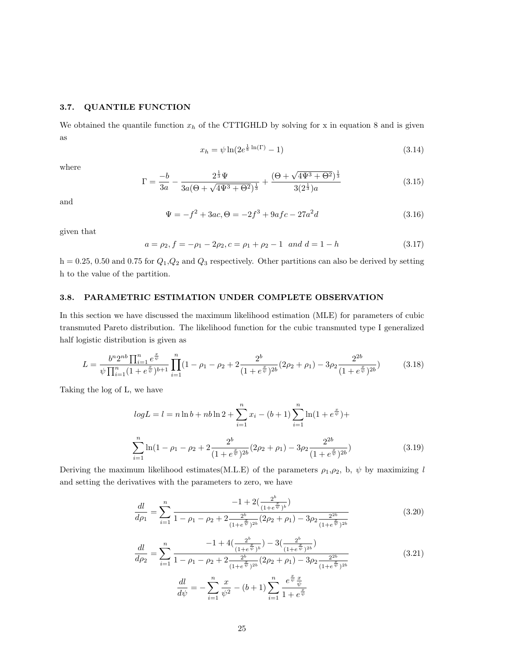## 3.7. QUANTILE FUNCTION

We obtained the quantile function  $x_h$  of the CTTIGHLD by solving for x in equation 8 and is given as

$$
x_h = \psi \ln(2e^{\frac{1}{b}\ln(\Gamma)} - 1) \tag{3.14}
$$

where

$$
\Gamma = \frac{-b}{3a} - \frac{2^{\frac{1}{3}}\Psi}{3a(\Theta + \sqrt{4\Psi^3 + \Theta^2})^{\frac{1}{3}}} + \frac{(\Theta + \sqrt{4\Psi^3 + \Theta^2})^{\frac{1}{3}}}{3(2^{\frac{1}{3}})a}
$$
(3.15)

and

$$
\Psi = -f^2 + 3ac, \Theta = -2f^3 + 9af - 27a^2d\tag{3.16}
$$

given that

$$
a = \rho_2, f = -\rho_1 - 2\rho_2, c = \rho_1 + \rho_2 - 1 \quad and \quad d = 1 - h \tag{3.17}
$$

 $h = 0.25, 0.50$  and  $0.75$  for  $Q_1, Q_2$  and  $Q_3$  respectively. Other partitions can also be derived by setting h to the value of the partition.

## 3.8. PARAMETRIC ESTIMATION UNDER COMPLETE OBSERVATION

In this section we have discussed the maximum likelihood estimation (MLE) for parameters of cubic transmuted Pareto distribution. The likelihood function for the cubic transmuted type I generalized half logistic distribution is given as

$$
L = \frac{b^n 2^{nb} \prod_{i=1}^n e^{\frac{x}{\psi}}}{\psi \prod_{i=1}^n (1 + e^{\frac{x}{\psi}})^{b+1}} \prod_{i=1}^n (1 - \rho_1 - \rho_2 + 2 \frac{2^b}{(1 + e^{\frac{x}{\psi}})^{2b}} (2\rho_2 + \rho_1) - 3\rho_2 \frac{2^{2b}}{(1 + e^{\frac{x}{\psi}})^{2b}})
$$
(3.18)

Taking the log of L, we have

$$
log L = l = n \ln b + nb \ln 2 + \sum_{i=1}^{n} x_i - (b+1) \sum_{i=1}^{n} \ln(1 + e^{\frac{x}{\psi}}) +
$$
  

$$
\sum_{i=1}^{n} \ln(1 - \rho_1 - \rho_2 + 2 \frac{2^b}{(1 + e^{\frac{x}{\psi}})^{2b}} (2\rho_2 + \rho_1) - 3\rho_2 \frac{2^{2b}}{(1 + e^{\frac{x}{\psi}})^{2b}})
$$
(3.19)

Deriving the maximum likelihood estimates(M.L.E) of the parameters  $\rho_1, \rho_2$ , b,  $\psi$  by maximizing l and setting the derivatives with the parameters to zero, we have

$$
\frac{dl}{d\rho_1} = \sum_{i=1}^n \frac{-1 + 2(\frac{2^b}{(1 + e^{\frac{x}{\psi}})^b})}{1 - \rho_1 - \rho_2 + 2\frac{2^b}{(1 + e^{\frac{x}{\psi}})^{2b}}(2\rho_2 + \rho_1) - 3\rho_2 \frac{2^{2b}}{(1 + e^{\frac{x}{\psi}})^{2b}}}
$$
(3.20)

$$
\frac{dl}{d\rho_2} = \sum_{i=1}^n \frac{-1 + 4(\frac{2^b}{(1 + e^{\frac{x}{\psi}})^b}) - 3(\frac{2^b}{(1 + e^{\frac{x}{\psi}})^{2b}})}{(1 + e^{\frac{x}{\psi}})^{2b}}
$$
\n
$$
\frac{dl}{d\psi} = -\sum_{i=1}^n \frac{x}{\psi^2} - (b+1) \sum_{i=1}^n \frac{e^{\frac{x}{\psi}} \frac{x}{\psi}}{1 + e^{\frac{x}{\psi}}}
$$
\n(3.21)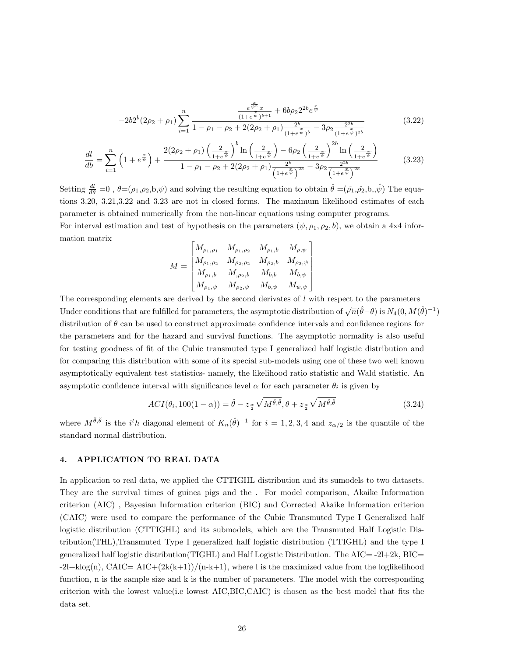$$
-2b2^{b}(2\rho_{2}+\rho_{1})\sum_{i=1}^{n}\frac{e^{\frac{x}{\psi^{2}}x}}{1-\rho_{1}-\rho_{2}+2(2\rho_{2}+\rho_{1})\frac{2^{b}}{(1+e^{\frac{x}{\psi}})^{b}}}-3\rho_{2}\frac{2^{2b}}{(1+e^{\frac{x}{\psi}})^{2b}}}{(1+e^{\frac{x}{\psi}})^{b}}}
$$
(3.22)

$$
\frac{dl}{db} = \sum_{i=1}^{n} \left( 1 + e^{\frac{x}{\psi}} \right) + \frac{2(2\rho_2 + \rho_1) \left( \frac{2}{1 + e^{\frac{x}{\psi}}} \right)^b \ln \left( \frac{2}{1 + e^{\frac{x}{\psi}}} \right) - 6\rho_2 \left( \frac{2}{1 + e^{\frac{x}{\psi}}} \right)^{2b} \ln \left( \frac{2}{1 + e^{\frac{x}{\psi}}} \right)}{1 - \rho_1 - \rho_2 + 2(2\rho_2 + \rho_1) \frac{2^b}{\left( 1 + e^{\frac{x}{\psi}} \right)^{2b}} - 3\rho_2 \frac{2^{2b}}{\left( 1 + e^{\frac{x}{\psi}} \right)^{2b}}}
$$
(3.23)

Setting  $\frac{dl}{d\theta} = 0$ ,  $\theta = (\rho_1, \rho_2, b, \psi)$  and solving the resulting equation to obtain  $\hat{\theta} = (\hat{\rho_1}, \hat{\rho_2}, b, \hat{\psi})$  The equations 3.20, 3.21,3.22 and 3.23 are not in closed forms. The maximum likelihood estimates of each parameter is obtained numerically from the non-linear equations using computer programs. For interval estimation and test of hypothesis on the parameters  $(\psi, \rho_1, \rho_2, b)$ , we obtain a 4x4 infor-

$$
M = \begin{bmatrix} M_{\rho_1, \rho_1} & M_{\rho_1, \rho_2} & M_{\rho_1, b} & M_{\rho, \psi} \\ M_{\rho_1, \rho_2} & M_{\rho_2, \rho_2} & M_{\rho_2, b} & M_{\rho_2, \psi} \\ M_{\rho_1, b} & M_{,\rho_2, b} & M_{b, b} & M_{b, \psi} \\ M_{\rho_1, \psi} & M_{\rho_2, \psi} & M_{b, \psi} & M_{\psi, \psi} \end{bmatrix}
$$

The corresponding elements are derived by the second derivates of  $l$  with respect to the parameters Under conditions that are fulfilled for parameters, the asymptotic distribution of  $\sqrt{n}(\hat{\theta}-\theta)$  is  $N_4(0, M(\hat{\theta})^{-1})$ distribution of  $\theta$  can be used to construct approximate confidence intervals and confidence regions for the parameters and for the hazard and survival functions. The asymptotic normality is also useful for testing goodness of fit of the Cubic transmuted type I generalized half logistic distribution and for comparing this distribution with some of its special sub-models using one of these two well known asymptotically equivalent test statistics- namely, the likelihood ratio statistic and Wald statistic. An asymptotic confidence interval with significance level  $\alpha$  for each parameter  $\theta_i$  is given by

$$
ACI(\theta_i, 100(1-\alpha)) = \hat{\theta} - z_{\frac{\alpha}{2}} \sqrt{M^{\hat{\theta}, \hat{\theta}}}, \theta + z_{\frac{\alpha}{2}} \sqrt{M^{\hat{\theta}, \hat{\theta}}}
$$
(3.24)

where  $M^{\hat{\theta}, \hat{\theta}}$  is the *i<sup>t</sup>h* diagonal element of  $K_n(\hat{\theta})^{-1}$  for  $i = 1, 2, 3, 4$  and  $z_{\alpha/2}$  is the quantile of the standard normal distribution.

# 4. APPLICATION TO REAL DATA

mation matrix

In application to real data, we applied the CTTIGHL distribution and its sumodels to two datasets. They are the survival times of guinea pigs and the . For model comparison, Akaike Information criterion (AIC) , Bayesian Information criterion (BIC) and Corrected Akaike Information criterion (CAIC) were used to compare the performance of the Cubic Transmuted Type I Generalized half logistic distribution (CTTIGHL) and its submodels, which are the Transmuted Half Logistic Distribution(THL),Transmuted Type I generalized half logistic distribution (TTIGHL) and the type I generalized half logistic distribution(TIGHL) and Half Logistic Distribution. The AIC= -2l+2k, BIC=  $-2l+klog(n)$ , CAIC= AIC+ $(2k(k+1))/(n-k+1)$ , where l is the maximized value from the loglikelihood function, n is the sample size and k is the number of parameters. The model with the corresponding criterion with the lowest value(i.e lowest AIC,BIC,CAIC) is chosen as the best model that fits the data set.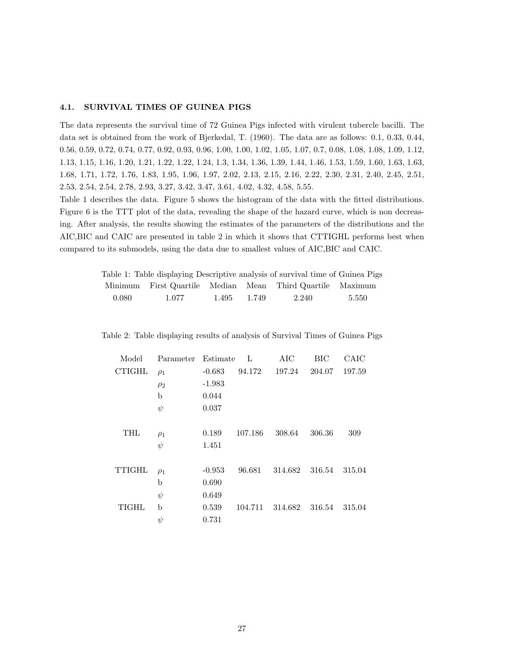# 4.1. SURVIVAL TIMES OF GUINEA PIGS

The data represents the survival time of 72 Guinea Pigs infected with virulent tubercle bacilli. The data set is obtained from the work of Bjerkedal, T. (1960). The data are as follows: 0.1, 0.33, 0.44, 0.56, 0.59, 0.72, 0.74, 0.77, 0.92, 0.93, 0.96, 1.00, 1.00, 1.02, 1.05, 1.07, 0.7, 0.08, 1.08, 1.08, 1.09, 1.12, 1.13, 1.15, 1.16, 1.20, 1.21, 1.22, 1.22, 1.24, 1.3, 1.34, 1.36, 1.39, 1.44, 1.46, 1.53, 1.59, 1.60, 1.63, 1.63, 1.68, 1.71, 1.72, 1.76, 1.83, 1.95, 1.96, 1.97, 2.02, 2.13, 2.15, 2.16, 2.22, 2.30, 2.31, 2.40, 2.45, 2.51, 2.53, 2.54, 2.54, 2.78, 2.93, 3.27, 3.42, 3.47, 3.61, 4.02, 4.32, 4.58, 5.55.

Table 1 describes the data. Figure 5 shows the histogram of the data with the fitted distributions. Figure 6 is the TTT plot of the data, revealing the shape of the hazard curve, which is non decreasing. After analysis, the results showing the estimates of the parameters of the distributions and the AIC,BIC and CAIC are presented in table 2 in which it shows that CTTIGHL performs best when compared to its submodels, using the data due to smallest values of AIC,BIC and CAIC.

|       |       |       |       | Table 1: Table displaying Descriptive analysis of survival time of Guinea Pigs |       |
|-------|-------|-------|-------|--------------------------------------------------------------------------------|-------|
|       |       |       |       | Minimum First Quartile Median Mean Third Quartile Maximum                      |       |
| 0.080 | 1.077 | 1.495 | 1.749 | 2.240                                                                          | 5.550 |

| Model         | Parameter | Estimate | L       | AIC                   | BIC    | CAIC   |
|---------------|-----------|----------|---------|-----------------------|--------|--------|
| <b>CTIGHL</b> | $\rho_1$  | $-0.683$ | 94.172  | 197.24                | 204.07 | 197.59 |
|               | $\rho_2$  | $-1.983$ |         |                       |        |        |
|               | b         | 0.044    |         |                       |        |        |
|               | $\psi$    | 0.037    |         |                       |        |        |
|               |           |          |         |                       |        |        |
| THL           | $\rho_1$  | 0.189    | 107.186 | 308.64                | 306.36 | 309    |
|               | $\psi$    | 1.451    |         |                       |        |        |
|               |           |          |         |                       |        |        |
| <b>TTIGHL</b> | $\rho_1$  | $-0.953$ | 96.681  | 314.682 316.54 315.04 |        |        |
|               | b         | 0.690    |         |                       |        |        |
|               | $\psi$    | 0.649    |         |                       |        |        |
| <b>TIGHL</b>  | b         | 0.539    | 104.711 | 314.682               | 316.54 | 315.04 |
|               | $\psi$    | 0.731    |         |                       |        |        |

Table 2: Table displaying results of analysis of Survival Times of Guinea Pigs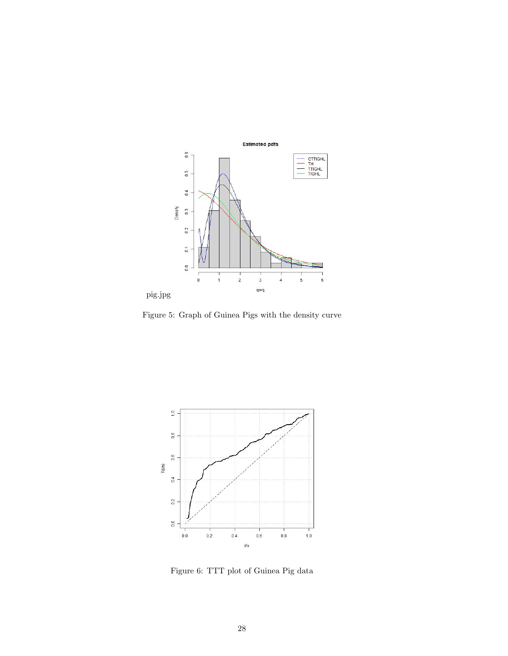

Figure 5: Graph of Guinea Pigs with the density curve



Figure 6: TTT plot of Guinea Pig data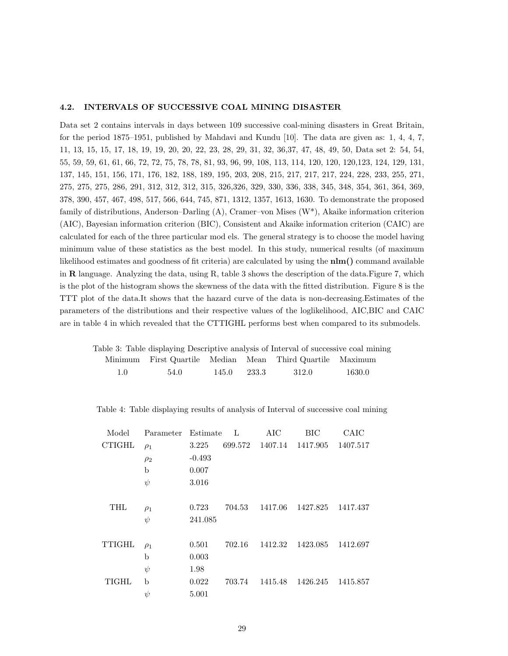## 4.2. INTERVALS OF SUCCESSIVE COAL MINING DISASTER

Data set 2 contains intervals in days between 109 successive coal-mining disasters in Great Britain, for the period 1875–1951, published by Mahdavi and Kundu [10]. The data are given as: 1, 4, 4, 7, 11, 13, 15, 15, 17, 18, 19, 19, 20, 20, 22, 23, 28, 29, 31, 32, 36,37, 47, 48, 49, 50, Data set 2: 54, 54, 55, 59, 59, 61, 61, 66, 72, 72, 75, 78, 78, 81, 93, 96, 99, 108, 113, 114, 120, 120, 120,123, 124, 129, 131, 137, 145, 151, 156, 171, 176, 182, 188, 189, 195, 203, 208, 215, 217, 217, 217, 224, 228, 233, 255, 271, 275, 275, 275, 286, 291, 312, 312, 312, 315, 326,326, 329, 330, 336, 338, 345, 348, 354, 361, 364, 369, 378, 390, 457, 467, 498, 517, 566, 644, 745, 871, 1312, 1357, 1613, 1630. To demonstrate the proposed family of distributions, Anderson–Darling (A), Cramer–von Mises (W\*), Akaike information criterion (AIC), Bayesian information criterion (BIC), Consistent and Akaike information criterion (CAIC) are calculated for each of the three particular mod els. The general strategy is to choose the model having minimum value of these statistics as the best model. In this study, numerical results (of maximum likelihood estimates and goodness of fit criteria) are calculated by using the nlm() command available in R language. Analyzing the data, using R, table 3 shows the description of the data.Figure 7, which is the plot of the histogram shows the skewness of the data with the fitted distribution. Figure 8 is the TTT plot of the data.It shows that the hazard curve of the data is non-decreasing.Estimates of the parameters of the distributions and their respective values of the loglikelihood, AIC,BIC and CAIC are in table 4 in which revealed that the CTTIGHL performs best when compared to its submodels.

|               |      |       |       | Table 3: Table displaying Descriptive analysis of Interval of successive coal mining |        |
|---------------|------|-------|-------|--------------------------------------------------------------------------------------|--------|
|               |      |       |       | Minimum First Quartile Median Mean Third Quartile Maximum                            |        |
| $1.0^{\circ}$ | 54.0 | 145.0 | 233.3 | 312.0                                                                                | 1630.0 |

Table 4: Table displaying results of analysis of Interval of successive coal mining

| Model         | Parameter | Estimate | $\mathbf{L}$ | AIC     | BIC      | CAIC     |
|---------------|-----------|----------|--------------|---------|----------|----------|
| <b>CTIGHL</b> | $\rho_1$  | 3.225    | 699.572      | 1407.14 | 1417.905 | 1407.517 |
|               | $\rho_2$  | $-0.493$ |              |         |          |          |
|               | b         | 0.007    |              |         |          |          |
|               | $\psi$    | 3.016    |              |         |          |          |
| THL           | $\rho_1$  | 0.723    | 704.53       | 1417.06 | 1427.825 | 1417.437 |
|               | $\psi$    | 241.085  |              |         |          |          |
| <b>TTIGHL</b> | $\rho_1$  | 0.501    | 702.16       | 1412.32 | 1423.085 | 1412.697 |
|               | b         | 0.003    |              |         |          |          |
|               | $\psi$    | 1.98     |              |         |          |          |
| <b>TIGHL</b>  | b         | 0.022    | 703.74       | 1415.48 | 1426.245 | 1415.857 |
|               | $\psi$    | 5.001    |              |         |          |          |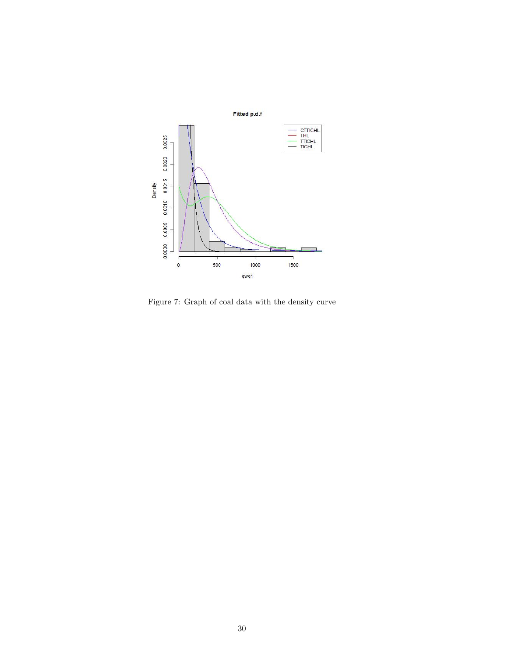

Figure 7: Graph of coal data with the density curve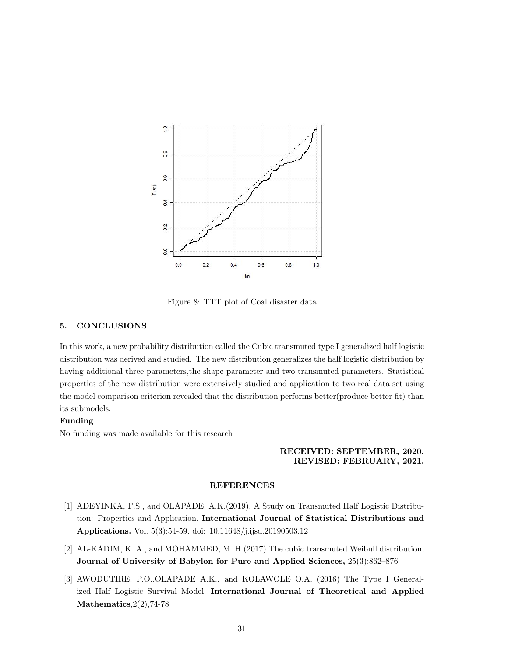

Figure 8: TTT plot of Coal disaster data

# 5. CONCLUSIONS

In this work, a new probability distribution called the Cubic transmuted type I generalized half logistic distribution was derived and studied. The new distribution generalizes the half logistic distribution by having additional three parameters,the shape parameter and two transmuted parameters. Statistical properties of the new distribution were extensively studied and application to two real data set using the model comparison criterion revealed that the distribution performs better(produce better fit) than its submodels.

# Funding

No funding was made available for this research

# RECEIVED: SEPTEMBER, 2020. REVISED: FEBRUARY, 2021.

## REFERENCES

- [1] ADEYINKA, F.S., and OLAPADE, A.K.(2019). A Study on Transmuted Half Logistic Distribution: Properties and Application. International Journal of Statistical Distributions and Applications. Vol. 5(3):54-59. doi: 10.11648/j.ijsd.20190503.12
- [2] AL-KADIM, K. A., and MOHAMMED, M. H.(2017) The cubic transmuted Weibull distribution, Journal of University of Babylon for Pure and Applied Sciences, 25(3):862–876
- [3] AWODUTIRE, P.O.,OLAPADE A.K., and KOLAWOLE O.A. (2016) The Type I Generalized Half Logistic Survival Model. International Journal of Theoretical and Applied Mathematics,2(2),74-78